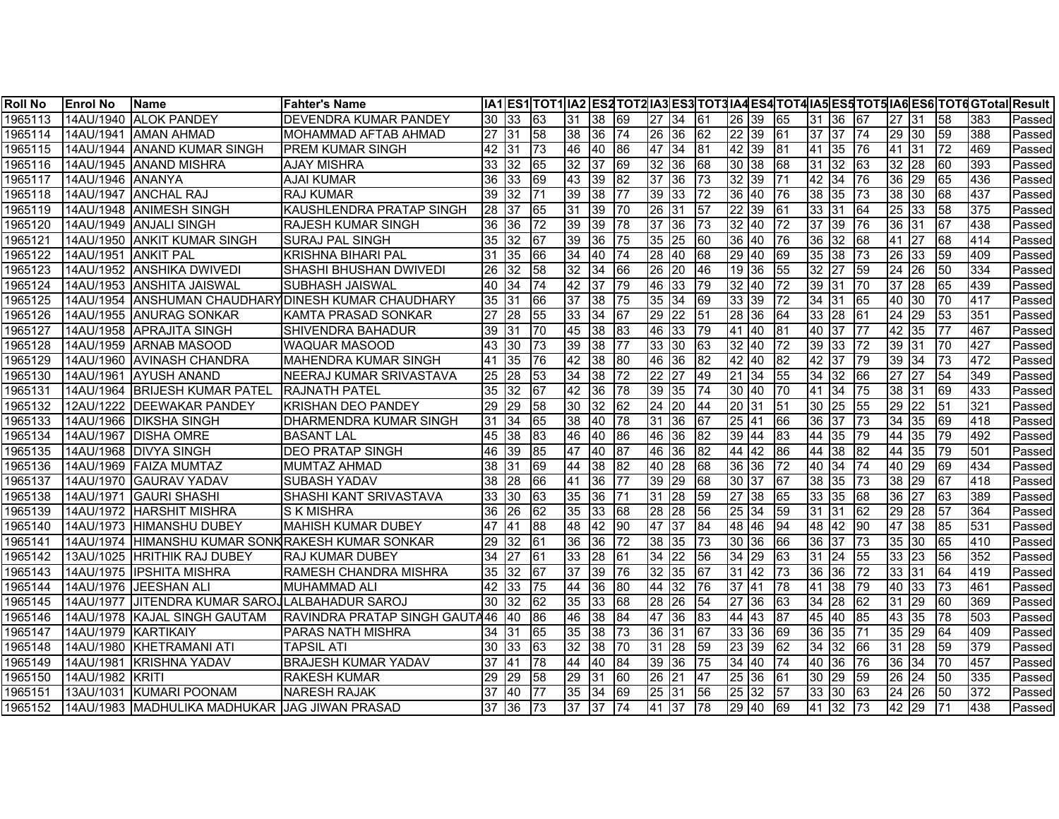| <b>Roll No</b> | IEnrol No           | <b>IName</b>                                     | <b>Fahter's Name</b>                                |                    |                 |                 |                    |                 |                 |                    |          |                 |         |          |                 |                 |          |                 |                    |                 |                 | IA1 ES1 TOT1 IA2 ES2 TOT2 IA3 ES3 TOT3 IA4 ES4 TOT4 IA5 ES5 TOT5 IA6 ES6 TOT6 GTotal Result |        |
|----------------|---------------------|--------------------------------------------------|-----------------------------------------------------|--------------------|-----------------|-----------------|--------------------|-----------------|-----------------|--------------------|----------|-----------------|---------|----------|-----------------|-----------------|----------|-----------------|--------------------|-----------------|-----------------|---------------------------------------------------------------------------------------------|--------|
| 1965113        |                     | 14AU/1940 IALOK PANDEY                           | DEVENDRA KUMAR PANDEY                               | 30 33              |                 | 63              | 31                 | 38              | 69              | $27 \overline{34}$ |          | 61              | 26 39   |          | 65              | 31 36           |          | 67              | $27 \overline{31}$ |                 | 58              | 383                                                                                         | Passed |
| 1965114        |                     | 14AU/1941 AMAN AHMAD                             | <b>MOHAMMAD AFTAB AHMAD</b>                         | $27 \overline{31}$ |                 | 58              | 38                 | 36              | $\overline{74}$ | 26 36              |          | 62              | 22 39   |          | 61              |                 | 37 37 74 |                 | 29 30              |                 | 59              | 388                                                                                         | Passed |
| 1965115        |                     | 14AU/1944 ANAND KUMAR SINGH                      | <b>PREM KUMAR SINGH</b>                             | 42                 | 31              | 73              | 46                 | 40              | 86              | 47 34              |          | 81              | 42 39   |          | 81              | $\sqrt{41}$ 35  |          | 76              | 41                 | 31              | $\overline{72}$ | 469                                                                                         | Passed |
| 1965116        |                     | 14AU/1945 ANAND MISHRA                           | <b>AJAY MISHRA</b>                                  | 33                 | 32              | 65              | 32                 | 37              | 69              | 32 36              |          | 68              | 30 38   |          | 68              | 31 32           |          | 63              | 32 28              |                 | 60              | 393                                                                                         | Passed |
| 1965117        | 14AU/1946 ANANYA    |                                                  | <b>AJAI KUMAR</b>                                   | 36                 | 33              | 69              | 43                 | 39              | 82              | 37 36              |          | <b>73</b>       | 32 39   |          | 171             | $ 42\rangle$    | 34       | 76              | 36                 | 29              | 65              | 436                                                                                         | Passed |
| 1965118        |                     | 14AU/1947 ANCHAL RAJ                             | <b>RAJ KUMAR</b>                                    | 39                 | 32              | $\overline{71}$ | 39                 | 38              | $\overline{77}$ | 39                 | 33       | $\overline{72}$ | 36 40   |          | 76              | 38              | 35       | 73              | 38                 | 30              | 68              | 437                                                                                         | Passec |
| 1965119        |                     | 14AU/1948 ANIMESH SINGH                          | KAUSHLENDRA PRATAP SINGH                            | $\overline{28}$    | 37              | 65              | 31                 | 39              | $\overline{70}$ | 26 31              |          | $\overline{57}$ | 22 39   |          | 61              | 33 31           |          | 64              | $25 \, 33$         |                 | 58              | 375                                                                                         | Passed |
| 1965120        |                     | 14AU/1949 ANJALI SINGH                           | <b>RAJESH KUMAR SINGH</b>                           | 36                 | 36              | 72              | 39                 | 39              | 78              | 37 36              |          | $\overline{73}$ | 32   40 |          | 72              | 37 39           |          | 76              | 36 31              |                 | $\overline{67}$ | 438                                                                                         | Passed |
| 1965121        |                     | 14AU/1950 ANKIT KUMAR SINGH                      | <b>SURAJ PAL SINGH</b>                              | 35                 | 32              | 67              | 39                 | 36              | 75              | $35 \ 25$          |          | 60              | 36 40   |          | 176             | 36              | 32       | 68              | 41                 | 27              | 68              | 414                                                                                         | Passed |
| 1965122        | 14AU/1951 ANKIT PAL |                                                  | <b>KRISHNA BIHARI PAL</b>                           | 31                 | 35              | 66              | 34                 | 40              | 74              | 28 40              |          | 68              | 29 40   |          | 69              | 35              | 38       | 73              | 26                 | $ 33\rangle$    | 59              | 409                                                                                         | Passed |
| 1965123        |                     | 14AU/1952 ANSHIKA DWIVEDI                        | <b>SHASHI BHUSHAN DWIVEDI</b>                       | 26                 | 32              | 58              | 32                 | 34              | 66              | 26 20              |          | 46              | 19 36   |          | 55              | 32              | 27       | 59              | 24 26              |                 | 50              | 334                                                                                         | Passed |
| 1965124        |                     | 14AU/1953  ANSHITA JAISWAL                       | <b>SUBHASH JAISWAL</b>                              | 40                 | 34              | 74              | 42                 | $\overline{37}$ | 79              | 46 33              |          | $\overline{79}$ | 32   40 |          | $ 72\rangle$    | 39              | 31       | 70              | 37                 | 28              | 65              | 439                                                                                         | Passed |
| 1965125        |                     |                                                  | 14AU/1954 ANSHUMAN CHAUDHARY DINESH KUMAR CHAUDHARY | $35 \ 31$          |                 | 66              | 37                 | 38              | $\overline{75}$ | 35 34              |          | 69              | 33 39   |          | $\overline{72}$ | 34 31           |          | 65              | 40 30              |                 | 70              | 417                                                                                         | Passed |
| 1965126        |                     | 14AU/1955 ANURAG SONKAR                          | <b>KAMTA PRASAD SONKAR</b>                          | 27                 | 28              | 55              | 33                 | 34              | 67              | 29 22              |          | $\overline{51}$ | 28 36   |          | 64              | 33 28           |          | 61              | 24 29              |                 | 53              | 351                                                                                         | Passed |
| 1965127        |                     | 14AU/1958 APRAJITA SINGH                         | <b>SHIVENDRA BAHADUR</b>                            | 39                 | 31              | 70              | 45                 | 38              | $\overline{83}$ | 46                 | 33       | $\overline{79}$ | 41 40   |          | 81              | 40              | 37       | $\overline{77}$ | 42                 | 35              | $\overline{77}$ | 467                                                                                         | Passed |
| 1965128        |                     | 14AU/1959 IARNAB MASOOD                          | <b>WAQUAR MASOOD</b>                                | 43                 | 30              | 73              | 39                 | 38              | 177             | 33 30              |          | 63              | 32 40   |          | 72              | 39              | 33       | 72              | 39                 | 31              | 170             | 427                                                                                         | Passed |
| 1965129        |                     | 14AU/1960 AVINASH CHANDRA                        | <b>MAHENDRA KUMAR SINGH</b>                         | 41                 | 35              | 76              | 42                 | 38              | 80              | 46 36              |          | 82              | 42 40   |          | 182             | $ 42\rangle$    | 37       | 79              | 39                 | 34              | 73              | 472                                                                                         | Passed |
| 1965130        |                     | 14AU/1961 AYYUSH ANAND                           | NEERAJ KUMAR SRIVASTAVA                             | 25                 | 28              | 53              | 34                 | $\overline{38}$ | $\overline{72}$ | 22 27              |          | 49              | 21 34   |          | 55              | 34              | 32       | 66              | $\overline{27}$    | 27              | 54              | 349                                                                                         | Passed |
| 1965131        |                     | 14AU/1964 BRIJESH KUMAR PATEL                    | <b>RAJNATH PATEL</b>                                | 35                 | 32              | 67              | 42                 | 36              | 78              | 39 35              |          | $\overline{74}$ | 30 40   |          | <b>170</b>      | 41              | 34       | 75              | 38 31              |                 | 69              | 433                                                                                         | Passed |
| 1965132        |                     | 12AU/1222 DEEWAKAR PANDEY                        | <b>KRISHAN DEO PANDEY</b>                           | 29                 | 29              | 58              | 30                 | 32              | 62              | 24 20              |          | 44              | 20 31   |          | 51              | $\overline{30}$ | 25       | 55              | 29 22              |                 | 51              | 321                                                                                         | Passed |
| 1965133        |                     | 14AU/1966   DIKSHA SINGH                         | DHARMENDRA KUMAR SINGH                              | 31                 | 34              | 65              | 38                 | 40              | 78              | 31 36              |          | 67              | 25 41   |          | 66              | 36              | 37       | 73              | 34                 | 35              | 69              | 418                                                                                         | Passed |
| 1965134        |                     | 14AU/1967 DISHA OMRE                             | <b>BASANT LAL</b>                                   | 45                 | 38              | 83              | 46                 | 40              | 86              | 46                 | 36       | 82              | 39 44   |          | <b>83</b>       | 44 35           |          | 79              | 44                 | 35              | 79              | 492                                                                                         | Passed |
| 1965135        |                     | 14AU/1968 DIVYA SINGH                            | <b>DEO PRATAP SINGH</b>                             | 46                 | 39              | 85              | 47                 | 40              | 87              | 46 36              |          | $\overline{82}$ | 44 42   |          | 86              | 44 38           |          | 82              | 44                 | 35              | 79              | 501                                                                                         | Passed |
| 1965136        |                     | 14AU/1969 FAIZA MUMTAZ                           | <b>MUMTAZ AHMAD</b>                                 | 38                 | 31              | 69              | 44                 | 38              | 82              | 40 28              |          | 68              | 36 36   |          | 172             | 40 34           |          | $\overline{74}$ | 40 29              |                 | 69              | 434                                                                                         | Passed |
| 1965137        |                     | 14AU/1970 GAURAV YADAV                           | <b>SUBASH YADAV</b>                                 | 38                 | 28              | 66              | 41                 | 36              | $\overline{77}$ | 39 29              |          | 68              | 30 37   |          | $\overline{67}$ | 38 35           |          | 73              | 38 29              |                 | 67              | 418                                                                                         | Passed |
| 1965138        |                     | 14AU/1971 GAURI SHASHI                           | SHASHI KANT SRIVASTAVA                              | 33                 | $\overline{30}$ | 63              | 35                 | 36              | $\overline{71}$ | $31 \ 28$          |          | 59              | 27 38   |          | 65              | 33              | 35       | $\overline{68}$ | 36                 | $\overline{27}$ | 63              | 389                                                                                         | Passed |
| 1965139        |                     | 14AU/1972 HARSHIT MISHRA                         | <b>S K MISHRA</b>                                   | 36                 | 26              | 62              | 35                 | 33              | 68              | 28 28              |          | 56              | 25 34   |          | 59              | 31 31           |          | 62              | 29                 | 28              | 57              | 364                                                                                         | Passed |
| 1965140        |                     | 14AU/1973 HIMANSHU DUBEY                         | <b>MAHISH KUMAR DUBEY</b>                           | 47                 | 41              | $\overline{88}$ | 48                 | $\overline{42}$ | $\overline{90}$ | 47                 | 137      | 84              | 48 46   |          | 94              | 48 42           |          | 90              | 47                 | 38              | 85              | 531                                                                                         | Passed |
| 1965141        |                     |                                                  | 14AU/1974 HIMANSHU KUMAR SONKRAKESH KUMAR SONKAR    | 29                 | 32              | 61              | 36                 | 36              | $\overline{72}$ | 38 35              |          | $ 73\rangle$    | 30 36   |          | <b>66</b>       | 36              | 37       | 73              | 35                 | 30              | 65              | 410                                                                                         | Passed |
| 1965142        |                     | 13AU/1025 HRITHIK RAJ DUBEY                      | <b>RAJ KUMAR DUBEY</b>                              | 34                 | 27              | 61              | 33                 | 28              | 61              | $34 \overline{22}$ |          | 56              | 34 29   |          | 63              | 31 24           |          | 55              | 33 23              |                 | 56              | 352                                                                                         | Passed |
| 1965143        |                     | 14AU/1975   IPSHITA MISHRA                       | RAMESH CHANDRA MISHRA                               | 35 32              |                 | $\overline{67}$ | 37                 | 39              | $\overline{76}$ | 32 35              |          | 67              | 31   42 |          | 73              | 36 36           |          | 72              | 33 31              |                 | 64              | 419                                                                                         | Passed |
| 1965144        |                     | 14AU/1976 JEESHAN ALI                            | <b>MUHAMMAD ALI</b>                                 | 42                 | 33              | 75              | 44                 | 36              | 80              | 44 32              |          | 76              | 37 41   |          | 178             | 41              | 38       | 79              | 40                 | 33              | 73              | 461                                                                                         | Passed |
| 1965145        |                     | 14AU/1977 JJITENDRA KUMAR SAROJLALBAHADUR SAROJ  |                                                     | 30                 | 32              | 62              | 35                 | 33              | 68              | 28 26              |          | 54              | 27 36   |          | 63              | 34              | 28       | 62              | 31                 | 29              | 60              | 369                                                                                         | Passed |
| 1965146        |                     | 14AU/1978 KAJAL SINGH GAUTAM                     | RAVINDRA PRATAP SINGH GAUTA46                       |                    | <b>40</b>       | 86              | 46                 | 38              | 84              | 47 36              |          | 83              | 44 43   |          | 87              | $\overline{45}$ | 40       | 85              | 43 35              |                 | 78              | 503                                                                                         | Passed |
| 1965147        | 14AU/1979 KARTIKAIY |                                                  | <b>PARAS NATH MISHRA</b>                            | 34                 | 31              | 65              | 35                 | 38              | 73              | 36 31              |          | 67              | 33 36   |          | <b>169</b>      | 36              | 35       | 71              | 35                 | 29              | 64              | 409                                                                                         | Passed |
| 1965148        |                     | 14AU/1980 KHETRAMANI ATI                         | <b>TAPSIL ATI</b>                                   | 30                 | 33              | 63              | 32                 | 38              | 70              | $31 \ 28$          |          | 59              | 23 39   |          | 62              | 34 32           |          | 66              | $31 \ 28$          |                 | 59              | 379                                                                                         | Passed |
| 1965149        |                     | 14AU/1981 KRISHNA YADAV                          | <b>BRAJESH KUMAR YADAV</b>                          | 37                 | 41              | 78              | 44                 | 40              | 84              | 39 36              |          | $\overline{75}$ | 34 40   |          | 74              | 40 36           |          | 76              | 36 34              |                 | 70              | 457                                                                                         | Passed |
| 1965150        | 14AU/1982 KRITI     |                                                  | <b>RAKESH KUMAR</b>                                 | 29                 | 29              | 58              | 29                 | 31              | 60              | 26                 | 21       | 47              | 25 36   |          | 61              | 30              | 29       | 59              | 26                 | $\overline{24}$ | 50              | 335                                                                                         | Passed |
| 1965151        |                     | 13AU/1031 KUMARI POONAM                          | <b>NARESH RAJAK</b>                                 | 37                 | 40              | $\overline{77}$ | 35                 | 34              | 69              | 25 31              |          | 56              | 25 32   |          | 57              | 33              | 30       | 63              | $\overline{24}$    | 26              | 50              | 372                                                                                         | Passed |
| 1965152        |                     | 114AU/1983 IMADHULIKA MADHUKAR IJAG JIWAN PRASAD |                                                     | $37 \overline{36}$ |                 | $\overline{73}$ | $37 \overline{37}$ |                 | $\overline{74}$ |                    | 41 37 78 |                 |         | 29 40 69 |                 |                 | 41 32 73 |                 | 42 29              |                 | 71              | 438                                                                                         | Passed |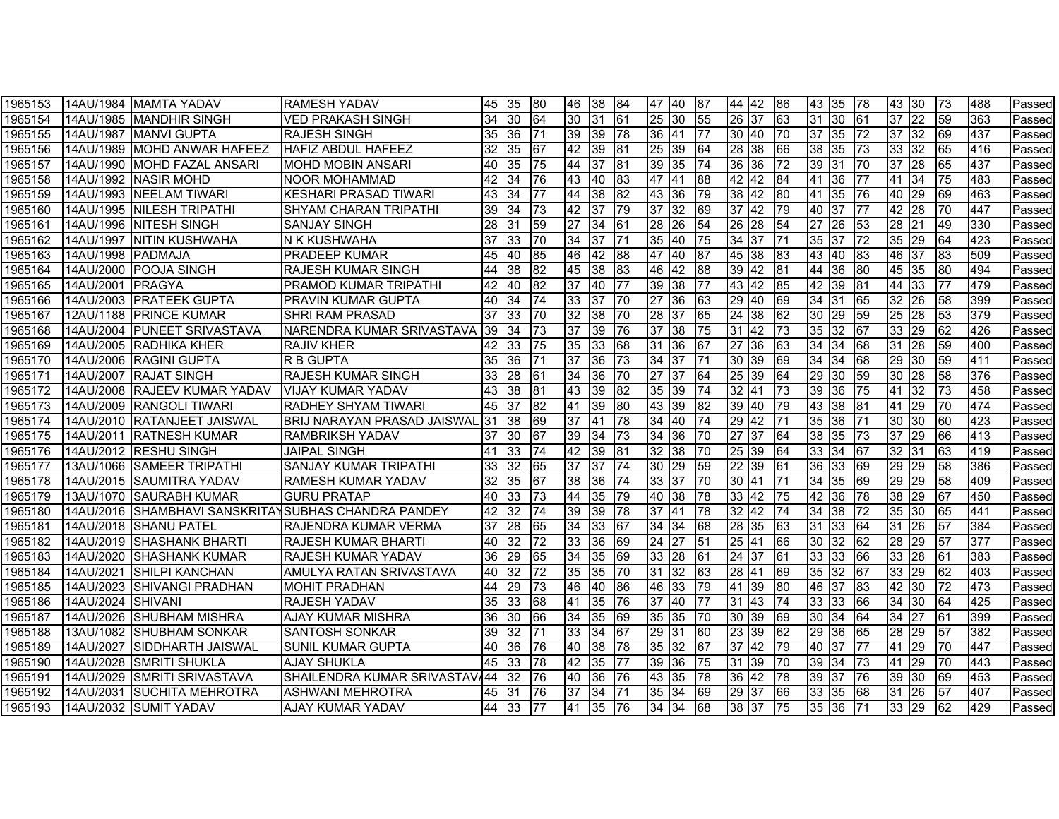| 1965153 |                     | 14AU/1984   MAMTA YADAV      | <b>RAMESH YADAV</b>                                 | 45 | 35 | 180             | 46              | 38              | 84               | 47                  | 40              | 87               | 44 42     |    | 86              | 43 | 135             | 78               | 43 30 |                 | 73              | 488              | Passed |
|---------|---------------------|------------------------------|-----------------------------------------------------|----|----|-----------------|-----------------|-----------------|------------------|---------------------|-----------------|------------------|-----------|----|-----------------|----|-----------------|------------------|-------|-----------------|-----------------|------------------|--------|
| 1965154 |                     | 14AU/1985 IMANDHIR SINGH     | <b>VED PRAKASH SINGH</b>                            | 34 | 30 | 64              | 30              | 31              | 61               | 25 30               |                 | 55               | 26 37     |    | 63              | 31 | 30              | 61               | 37    | $\overline{22}$ | 59              | 363              | Passed |
| 1965155 |                     | 14AU/1987 MAANVI GUPTA       | <b>RAJESH SINGH</b>                                 | 35 | 36 | 71              | 39              | 39              | $\overline{78}$  | 36 41               |                 | $\overline{177}$ | 30 40     |    | 170             | 37 | 35              | $\overline{172}$ | 37    | 32              | 69              | 437              | Passed |
| 1965156 |                     | 14AU/1989 MOHD ANWAR HAFEEZ  | <b>HAFIZ ABDUL HAFEEZ</b>                           | 32 | 35 | 67              | 42              | 39              | 81               | 25 39               |                 | 64               | 28 38     |    | <b>66</b>       | 38 | 35              | 173              | 33    | 32              | 65              | 416              | Passed |
| 1965157 |                     | 14AU/1990 IMOHD FAZAL ANSARI | <b>MOHD MOBIN ANSARI</b>                            | 40 | 35 | 75              | 44              | 37              | 81               | 39 35               |                 | 74               | 36 36     |    | 72              | 39 | 31              | 70               | 37    | 28              | 65              | 437              | Passed |
| 1965158 |                     | 14AU/1992 INASIR MOHD        | <b>NOOR MOHAMMAD</b>                                | 42 | 34 | 76              | 43              | 40              | 83               | 47                  | 41              | 88               | 42 42     |    | 84              | 41 | 36              | 77               | 41    | 34              | 75              | 483              | Passed |
| 1965159 |                     | 14AU/1993 NEELAM TIWARI      | <b>KESHARI PRASAD TIWARI</b>                        | 43 | 34 | 77              | 44              | 38              | 82               | 43 36               |                 | 79               | 38 42     |    | 80              | 41 | 35              | 76               | 40    | 29              | 69              | 463              | Passed |
| 1965160 |                     | 14AU/1995 NILESH TRIPATHI    | <b>SHYAM CHARAN TRIPATHI</b>                        | 39 | 34 | $\overline{73}$ | 42              | 37              | 79               | $37 \overline{)32}$ |                 | 69               | $37 \ 42$ |    | 79              | 40 | $\overline{37}$ | $\overline{77}$  | 42    | 28              | 70              | 447              | Passec |
| 1965161 |                     | 14AU/1996 NITESH SINGH       | <b>SANJAY SINGH</b>                                 | 28 | 31 | 59              | 27              | 34              | 61               | 28 26               |                 | 54               | 26 28     |    | 54              | 27 | 26              | 53               | 28    | 21              | 49              | 330              | Passed |
| 1965162 |                     | 14AU/1997 NITIN KUSHWAHA     | <b>N K KUSHWAHA</b>                                 | 37 | 33 | 70              | 34              | $\overline{37}$ | $\overline{71}$  | 35                  | 40              | 75               | 34 37     |    | 71              | 35 | 37              | 72               | 35    | 29              | 64              | 423              | Passed |
| 1965163 | 14AU/1998   PADMAJA |                              | PRADEEP KUMAR                                       | 45 | 40 | 85              | 46              | 42              | 88               | 47                  | 40              | $\overline{87}$  | 45 38     |    | 83              | 43 | 40              | 83               | 46    | 37              | 83              | 509              | Passed |
| 1965164 |                     | 14AU/2000 POOJA SINGH        | <b>RAJESH KUMAR SINGH</b>                           | 44 | 38 | 82              | 45              | 38              | 83               | 46                  | $ 42\rangle$    | 88               | 39 42     |    | 81              | 44 | 36              | 80               | 45    | 35              | 180             | 494              | Passed |
| 1965165 | 14AU/2001   PRAGYA  |                              | <b>PRAMOD KUMAR TRIPATHI</b>                        | 42 | 40 | 82              | 37              | 40              | 177              | 39 38               |                 | 177              | 43 42     |    | $\overline{85}$ | 42 | 39              | $\overline{81}$  | 44    | 33              | 77              | 479              | Passed |
| 1965166 |                     | 14AU/2003 PRATEEK GUPTA      | <b>PRAVIN KUMAR GUPTA</b>                           | 40 | 34 | 74              | 33              | 37              | $\overline{70}$  | 27 36               |                 | 63               | 29 40     |    | 69              | 34 | 31              | 65               | 32    | 26              | 58              | 399              | Passed |
| 1965167 |                     | 12AU/1188 PRINCE KUMAR       | SHRI RAM PRASAD                                     | 37 | 33 | 70              | 32              | 38              | 70               | 28 37               |                 | 65               | 24 38     |    | 62              | 30 | 29              | 59               | 25    | 28              | 53              | 379              | Passed |
| 1965168 |                     | 14AU/2004 PUNEET SRIVASTAVA  | NARENDRA KUMAR SRIVASTAVA                           | 39 | 34 | 73              | $\overline{37}$ | 39              | 76               | 37                  | 38              | 75               | 31        | 42 | 73              | 35 | 32              | 67               | 33    | 29              | 62              | 426              | Passed |
| 1965169 |                     | 14AU/2005 RADHIKA KHER       | <b>RAJIV KHER</b>                                   | 42 | 33 | 75              | 35              | 33              | 68               | 31 36               |                 | $\overline{67}$  | 27 36     |    | 63              | 34 | 34              | 68               | 31    | 28              | 59              | 400              | Passed |
| 1965170 |                     | 14AU/2006 RAGINI GUPTA       | R B GUPTA                                           | 35 | 36 | 71              | 37              | 36              | 73               | 34                  | <b>37</b>       | $\overline{71}$  | 30 39     |    | 69              | 34 | 34              | 68               | 29    | 30              | 59              | 411              | Passed |
| 1965171 |                     | 14AU/2007 RAJAT SINGH        | <b>RAJESH KUMAR SINGH</b>                           | 33 | 28 | 61              | 34              | 36              | 70               | $\overline{27}$     | 37              | 64               | 25 39     |    | 64              | 29 | 30              | 59               | 30    | 28              | 58              | 376              | Passed |
| 1965172 |                     | 14AU/2008 RAJEEV KUMAR YADAV | VIJAY KUMAR YADAV                                   | 43 | 38 | 81              | 43              | $\overline{39}$ | $\overline{82}$  | 35 39               |                 | 74               | 32 41     |    | 73              | 39 | 36              | $\overline{75}$  | 41    | 32              | 73              | 458              | Passed |
| 1965173 |                     | 14AU/2009 RANGOLI TIWARI     | <b>RADHEY SHYAM TIWARI</b>                          | 45 | 37 | 82              | 41              | 39              | 80               | 43 39               |                 | 82               | 39 40     |    | 79              | 43 | 38              | 81               | 41    | 29              | 70              | 474              | Passed |
| 1965174 |                     | 14AU/2010 RATANJEET JAISWAL  | BRIJ NARAYAN PRASAD JAISWAL                         | 31 | 38 | 69              | 37              | 41              | 78               | 34                  | <b>40</b>       | 74               | 29 42     |    | 71              | 35 | 36              | $\overline{71}$  | 30    | 30              | 60              | 423              | Passed |
| 1965175 |                     | 14AU/2011 RATNESH KUMAR      | <b>RAMBRIKSH YADAV</b>                              | 37 | 30 | 67              | 39              | 34              | 73               | 34                  | 36              | 170              | 27 37     |    | 64              | 38 | 35              | <b>73</b>        | 37    | 29              | 66              | 413              | Passed |
| 1965176 |                     | 14AU/2012 RESHU SINGH        | <b>JAIPAL SINGH</b>                                 | 41 | 33 | 74              | 42              | 39              | 81               | 32 38               |                 | 170              | 25 39     |    | 64              | 33 | 34              | 67               | 32    | 131             | 63              | 419              | Passed |
| 1965177 |                     | 13AU/1066 ISAMEER TRIPATHI   | <b>SANJAY KUMAR TRIPATHI</b>                        | 33 | 32 | 65              | 37              | 37              | 74               | 30 29               |                 | 59               | 22 39     |    | 61              | 36 | 33              | 69               | 29    | 29              | 58              | 386              | Passed |
| 1965178 |                     | 14AU/2015 SAUMITRA YADAV     | <b>RAMESH KUMAR YADAV</b>                           | 32 | 35 | 67              | 38              | 36              | 74               | 33 37               |                 | $\overline{70}$  | 30 41     |    | $\overline{71}$ | 34 | 35              | 69               | 29    | 29              | 58              | 409              | Passed |
| 1965179 |                     | 13AU/1070 SAURABH KUMAR      | <b>GURU PRATAP</b>                                  | 40 | 33 | $\overline{73}$ | 44              | 35              | 79               | 40 38               |                 | 78               | 33   42   |    | 75              | 42 | 36              | 78               | 38    | 29              | 67              | 450              | Passed |
| 1965180 |                     |                              | 14AU/2016 SHAMBHAVI SANSKRITAYSUBHAS CHANDRA PANDEY | 42 | 32 | 74              | 39              | $\overline{39}$ | 78               | 37                  | 41              | 78               | 32   42   |    | 74              | 34 | 38              | $\overline{72}$  | 35    | 30              | 65              | 441              | Passed |
| 1965181 |                     | 14AU/2018 SHANU PATEL        | RAJENDRA KUMAR VERMA                                | 37 | 28 | 65              | 34              | 33              | 67               | 34 34               |                 | 68               | 28 35     |    | 63              | 31 | 33              | 64               | 31    | 26              | $\overline{57}$ | 384              | Passed |
| 1965182 |                     | 14AU/2019 SHASHANK BHARTI    | <b>RAJESH KUMAR BHARTI</b>                          | 40 | 32 | $\overline{72}$ | 33              | 36              | 69               | 24                  | <b>27</b>       | $\overline{51}$  | 25 41     |    | 66              | 30 | 32              | 62               | 28    | 29              | 57              | $\overline{377}$ | Passed |
| 1965183 |                     | 14AU/2020 SHASHANK KUMAR     | <b>RAJESH KUMAR YADAV</b>                           | 36 | 29 | 65              | 34              | 35              | $\overline{69}$  | 33 28               |                 | $\overline{61}$  | 24 37     |    | 61              | 33 | 33              | 66               | 33 28 |                 | 61              | 383              | Passed |
| 1965184 |                     | 14AU/2021 SHILPI KANCHAN     | AMULYA RATAN SRIVASTAVA                             | 40 | 32 | 72              | 35              | 35              | 70               | 31                  | 32              | 63               | 28 41     |    | 69              | 35 | 32              | 67               | 33    | 29              | 62              | 403              | Passed |
| 1965185 |                     | 14AU/2023 SHIVANGI PRADHAN   | <b>MOHIT PRADHAN</b>                                | 44 | 29 | 73              | 46              | 40              | 86               | 46                  | 33              | 79               | 41 39     |    | 80              | 46 | 37              | 83               | 42    | 30              | 72              | 473              | Passed |
| 1965186 | 14AU/2024 SHIVANI   |                              | <b>RAJESH YADAV</b>                                 | 35 | 33 | 68              | 41              | 35              | 76               | 37                  | 40              | $\overline{77}$  | 31 43     |    | 74              | 33 | 33              | 66               | 34    | 30              | 64              | 425              | Passed |
| 1965187 |                     | 14AU/2026 SHUBHAM MISHRA     | <b>AJAY KUMAR MISHRA</b>                            | 36 | 30 | 66              | 34              | 35              | 69               | 35                  | $\overline{35}$ | $\overline{70}$  | 30 39     |    | 69              | 30 | 34              | 64               | 34    | 27              | 61              | 399              | Passed |
| 1965188 |                     | 13AU/1082 SHUBHAM SONKAR     | <b>SANTOSH SONKAR</b>                               | 39 | 32 | 71              | 33              | 34              | 67               | 29                  | 131             | 60               | 23 39     |    | 62              | 29 | 36              | 65               | 28    | 29              | 57              | 382              | Passed |
| 1965189 |                     | 14AU/2027 SIDDHARTH JAISWAL  | <b>SUNIL KUMAR GUPTA</b>                            | 40 | 36 | 76              | 40              | $\overline{38}$ | $\overline{78}$  | 35 32               |                 | 67               | 37 42     |    | 79              | 40 | 37              | <b>177</b>       | 41    | 29              | 170             | 447              | Passec |
| 1965190 |                     | 14AU/2028 ISMRITI SHUKLA     | <b>AJAY SHUKLA</b>                                  | 45 | 33 | 78              | 42              | 35              | 77               | 39                  | 36              | 75               | 31 39     |    | 70              | 39 | 34              | 73               | 41    | 29              | 170             | 443              | Passed |
| 1965191 |                     | 14AU/2029 SMRITI SRIVASTAVA  | SHAILENDRA KUMAR SRIVASTAVA44                       |    | 32 | 76              | 40              | 36              | 76               | 43 35               |                 | $\overline{78}$  | 36 42     |    | 78              | 39 | 37              | 76               | 39    | 30              | 69              | 453              | Passed |
| 1965192 |                     | 14AU/2031 SUCHITA MEHROTRA   | <b>ASHWANI MEHROTRA</b>                             | 45 | 31 | 76              | 37              | 34              | $\overline{171}$ | 35                  | 34              | 69               | 29 37     |    | 66              | 33 | 35              | 68               | 31    | 26              | 57              | 407              | Passed |
| 1965193 |                     | 14AU/2032 SUMIT YADAV        | <b>AJAY KUMAR YADAV</b>                             | 44 | 33 | 177             | 41              | 35              | $\overline{76}$  | 34 34               |                 | 68               | 38 37     |    | $\overline{75}$ | 35 | 36              | $\overline{171}$ | 33 29 |                 | 62              | 429              | Passed |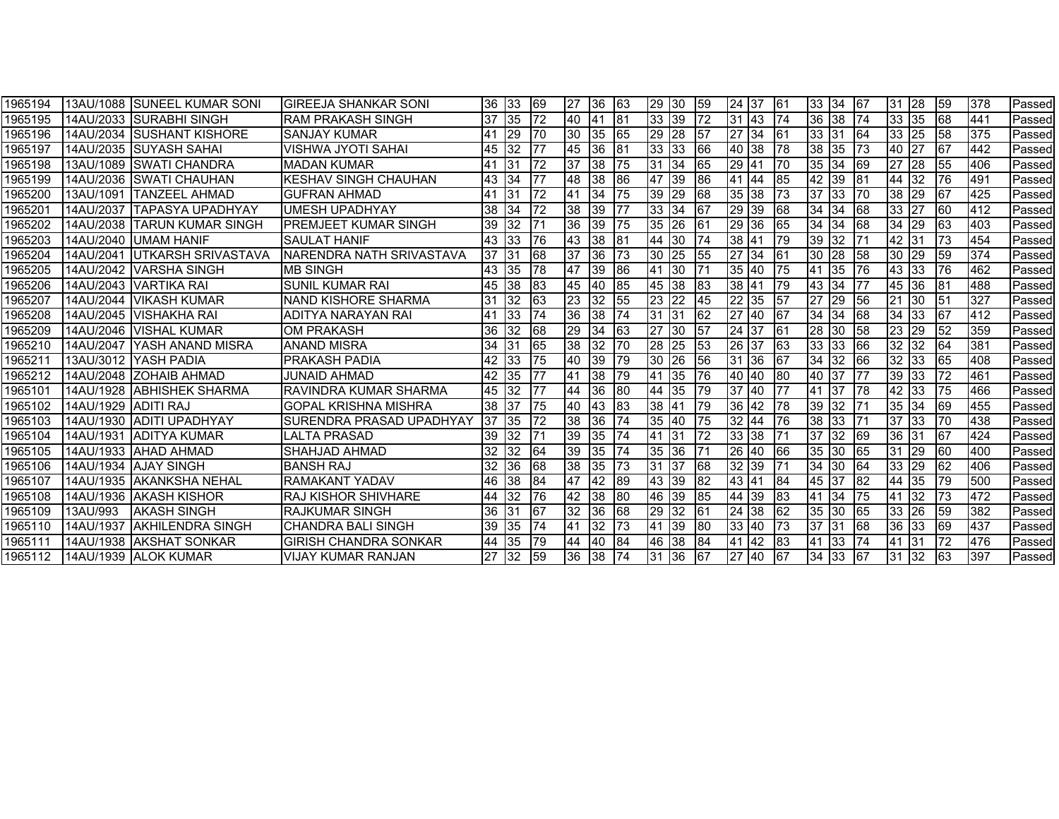| 1965194 |                     | 13AU/1088 SUNEEL KUMAR SONI  | IGIREEJA SHANKAR SONI           | 36 33           |    | 69              | 27              | 36        | 163             | 29    | <b>130</b> | 59               | 24 37 |    | 61              | 33               | 34 | 167             | 31              | 28              | 59         | 378 | Passed |
|---------|---------------------|------------------------------|---------------------------------|-----------------|----|-----------------|-----------------|-----------|-----------------|-------|------------|------------------|-------|----|-----------------|------------------|----|-----------------|-----------------|-----------------|------------|-----|--------|
| 1965195 |                     | 14AU/2033 SURABHI SINGH      | <b>RAM PRAKASH SINGH</b>        | 37              | 35 | $\overline{72}$ | 40              | <b>41</b> | 81              | 33 39 |            | $ 72\rangle$     | 31 43 |    | 174             | 36               | 38 | 74              | 33 35           |                 | 168        | 441 | Passec |
| 1965196 |                     | 14AU/2034 ISUSHANT KISHORE   | <b>SANJAY KUMAR</b>             | 41              | 29 | 70              | 30              | 35        | 65              | 29    | 28         | 57               | 27 34 |    | 61              | 33               | 31 | 64              | 33              | 25              | 58         | 375 | Passec |
| 1965197 |                     | 14AU/2035 SUYASH SAHAI       | VISHWA JYOTI SAHAI              | 45              | 32 | 77              | 45              | 36        | 81              | 33    | 33         | 66               | 40 38 |    | 78              | 38               | 35 | 73              | 40              |                 | 67         | 442 | Passed |
| 1965198 |                     | 13AU/1089 SWATI CHANDRA      | <b>MADAN KUMAR</b>              | 41              | 31 | 72              | 37              | 38        | 75              | 31    | 34         | 65               | 29 41 |    | 70              | 35               | 34 | 69              | 27              | 28              | 55         | 406 | Passed |
| 1965199 |                     | 14AU/2036 ISWATI CHAUHAN     | <b>KESHAV SINGH CHAUHAN</b>     | 43              | 34 | 77              | 48              | 38        | 86              | 47    | 139        | 86               | 41 44 |    | 85              | 42               | 39 | <b>81</b>       | 44              | 32              | 76         | 491 | Passed |
| 1965200 |                     | 13AU/1091 TANZEEL AHMAD      | <b>GUFRAN AHMAD</b>             | 41              | 31 | 72              | 41              | 34        | 75              | 39 29 |            | 68               | 35 38 |    | 73              | $\overline{37}$  | 33 | 70              | 38              | 29              | 167        | 425 | Passed |
| 196520  |                     | 14AU/2037 TAPASYA UPADHYAY   | <b>UMESH UPADHYAY</b>           | 38              | 34 | 72              | 38              | 39        | 77              | 33 34 |            | 67               | 29 39 |    | 68              | 34               | 34 | 68              | 33              |                 | <b>160</b> | 412 | Passed |
| 1965202 |                     | 14AU/2038 TARUN KUMAR SINGH  | <b>PREMJEET KUMAR SINGH</b>     | 39              | 32 | $\overline{71}$ | 36              | 39        | $\overline{75}$ | 35    | 26         | 61               | 29 36 |    | 65              | 34               | 34 | 68              | 34              | 29              | 63         | 403 | Passed |
| 1965203 |                     | 14AU/2040 IUMAM HANIF        | <b>SAULAT HANIF</b>             | 43              | 33 | 76              | 43              | 38        | 81              | 44    | 130        | $\overline{74}$  | 38 41 |    | 79              | 39               | 32 | 71              | 42              | 131             | 73         | 454 | Passed |
| 1965204 |                     | 14AU/2041 UTKARSH SRIVASTAVA | NARENDRA NATH SRIVASTAVA        | 37              | 31 | 68              | $\overline{37}$ | 36        | $\overline{73}$ | 30 25 |            | 55               | 27 34 |    | 61              | 30               | 28 | 58              | 30 29           |                 | 59         | 374 | Passed |
| 1965205 |                     | 14AU/2042 VARSHA SINGH       | <b>MB SINGH</b>                 | 43              | 35 | 78              | 47              | 39        | 86              | 41    | <b>130</b> | $\overline{171}$ | 35 40 |    | 75              | 41               | 35 | $\overline{76}$ | 43              | $\overline{33}$ | 76         | 462 | Passed |
| 1965206 |                     | 14AU/2043 VARTIKA RAI        | <b>SUNIL KUMAR RAI</b>          | 45              | 38 | 83              | 45              | 40        | 85              | 45    | I38        | 183              | 38 41 |    | 79              | 43               | 34 | 77              | 45              | 36              | 181        | 488 | Passec |
| 1965207 |                     | 14AU/2044 VIKASH KUMAR       | NAND KISHORE SHARMA             | 31              | 32 | 63              | 23              | 32        | 55              | 23    | 22         | 45               | 22 35 |    | $\overline{57}$ | 27               | 29 | 56              | 21              | 30              | 51         | 327 | Passed |
| 1965208 |                     | 14AU/2045   VISHAKHA RAI     | ADITYA NARAYAN RAI              | 41              | 33 | 74              | 36              | 38        | $\overline{74}$ | 31 31 |            | 62               | 27 40 |    | 67              | 34               | 34 | 68              | 34              | 33              | 167        | 412 | Passed |
| 1965209 |                     | 14AU/2046   VISHAL KUMAR     | <b>OM PRAKASH</b>               | 36              | 32 | 68              | 29              | 34        | 63              | 27    | 130        | $\overline{57}$  | 24 37 |    | 61              | $\overline{28}$  | 30 | 58              | 23              | <b>29</b>       | 52         | 359 | Passec |
| 1965210 |                     | 14AU/2047 IYASH ANAND MISRA  | <b>ANAND MISRA</b>              | $\overline{34}$ | 31 | 65              | 38              | 32        | 70              | 28 25 |            | 53               | 26 37 |    | 63              | 33               | 33 | 66              | 32              | 32              | 64         | 381 | Passed |
| 196521  |                     | 13AU/3012 YASH PADIA         | <b>PRAKASH PADIA</b>            | 42              | 33 | 75              | 40              | 39        | 79              | 30    | 26         | 56               | 31 36 |    | 67              | 34               | 32 | 66              | 32              | 133             | 165        | 408 | Passed |
| 1965212 |                     | 14AU/2048 ZOHAIB AHMAD       | JUNAID AHMAD                    | 42              | 35 | 77              | 41              | 38        | 79              | 41    | 35         | 76               | 40 40 |    | 80              | 40               | 37 | 177             | 39              | 33              | 72         | 461 | Passed |
| 1965101 |                     | 14AU/1928  ABHISHEK SHARMA   | RAVINDRA KUMAR SHARMA           | 45              | 32 | 77              | 44              | 36        | 80              | 44    | 35         | 79               | 37 40 |    | 77              | $\overline{141}$ | 37 | 78              | $\overline{42}$ | 33              | 75         | 466 | Passed |
| 1965102 | 14AU/1929 ADITI RAJ |                              | <b>GOPAL KRISHNA MISHRA</b>     | 38              | 37 | 75              | 40              | 43        | 83              | 38 41 |            | 79               | 36 42 |    | 78              | 39               | 32 | 71              | 35 34           |                 | 169        | 455 | Passed |
| 1965103 |                     | 14AU/1930 ADITI UPADHYAY     | <b>SURENDRA PRASAD UPADHYAY</b> | 37              | 35 | 72              | 38              | 36        | 74              | 35 40 |            | 175              | 32 44 |    | 76              | 38               | 33 | 71              | $\overline{37}$ | 33              | 70         | 438 | Passed |
| 1965104 |                     | 14AU/1931 ADITYA KUMAR       | <b>LALTA PRASAD</b>             | 39              | 32 | 71              | 39              | 35        | 74              | 41    | 131        | 172              | 33 38 |    | 71              | $\overline{37}$  | 32 | 69              | 36              | 131             | <b>67</b>  | 424 | Passed |
| 1965105 |                     | 14AU/1933 IAHAD AHMAD        | <b>SHAHJAD AHMAD</b>            | 32              | 32 | 64              | 39              | 35        | $\overline{74}$ | 35 36 |            | 171              | 26 40 |    | 66              | 35               | 30 | 65              | 31              | 29              | 60         | 400 | Passed |
| 1965106 |                     | 14AU/1934   AJAY SINGH       | <b>BANSH RAJ</b>                | 32              | 36 | 68              | 38              | 35        | $\overline{73}$ | 31    | 137        | 68               | 32 39 |    | 71              | 34               | 30 | 64              | 33 29           |                 | 62         | 406 | Passed |
| 1965107 |                     | 14AU/1935   AKANKSHA NEHAL   | RAMAKANT YADAV                  | 46              | 38 | 84              | 47              | 42        | 89              | 43    | 139        | 82               | 43 41 |    | 84              | 45               | 37 | 82              | 44              | 35              | 79         | 500 | Passed |
| 1965108 |                     | 14AU/1936 AKASH KISHOR       | <b>RAJ KISHOR SHIVHARE</b>      | 44              | 32 | 76              | 42              | 38        | 80              | 46    | 139        | 85               | 44 39 |    | 83              | $\overline{41}$  | 34 | 75              | 41              | 32              | 73         | 472 | Passed |
| 1965109 | 13AU/993            | <b>LAKASH SINGH</b>          | <b>RAJKUMAR SINGH</b>           | 36              | 31 | 67              | 32              | 36        | 68              | 29    | 32         | 61               | 24 38 |    | 62              | 35               | 30 | 65              | 33              | 26              | 59         | 382 | Passed |
| 1965110 |                     | 14AU/1937 AKHILENDRA SINGH   | <b>CHANDRA BALI SINGH</b>       | 39              | 35 | 74              | 41              | 32        | <b>73</b>       | 41    | 39         | 80               | 33 40 |    | 73              | 37               | 31 | 68              | 36              | 133             | 69         | 437 | Passed |
| 196511  |                     | 14AU/1938 AKSHAT SONKAR      | <b>GIRISH CHANDRA SONKAR</b>    | 44              | 35 | 79              | 44              | 40        | 84              | 46 38 |            | 84               | 41 42 |    | 83              | 41               | 33 | 74              | 41              | 131             | 72         | 476 | Passed |
| 1965112 |                     | 14AU/1939 IALOK KUMAR        | <b>VIJAY KUMAR RANJAN</b>       | 27              | 32 | 59              | 36              | 38        | 74              | 31    | <b>36</b>  | <b>67</b>        | 27    | 40 | 167             | 34               | 33 | 67              | 31              | 32              | 63         | 397 | Passed |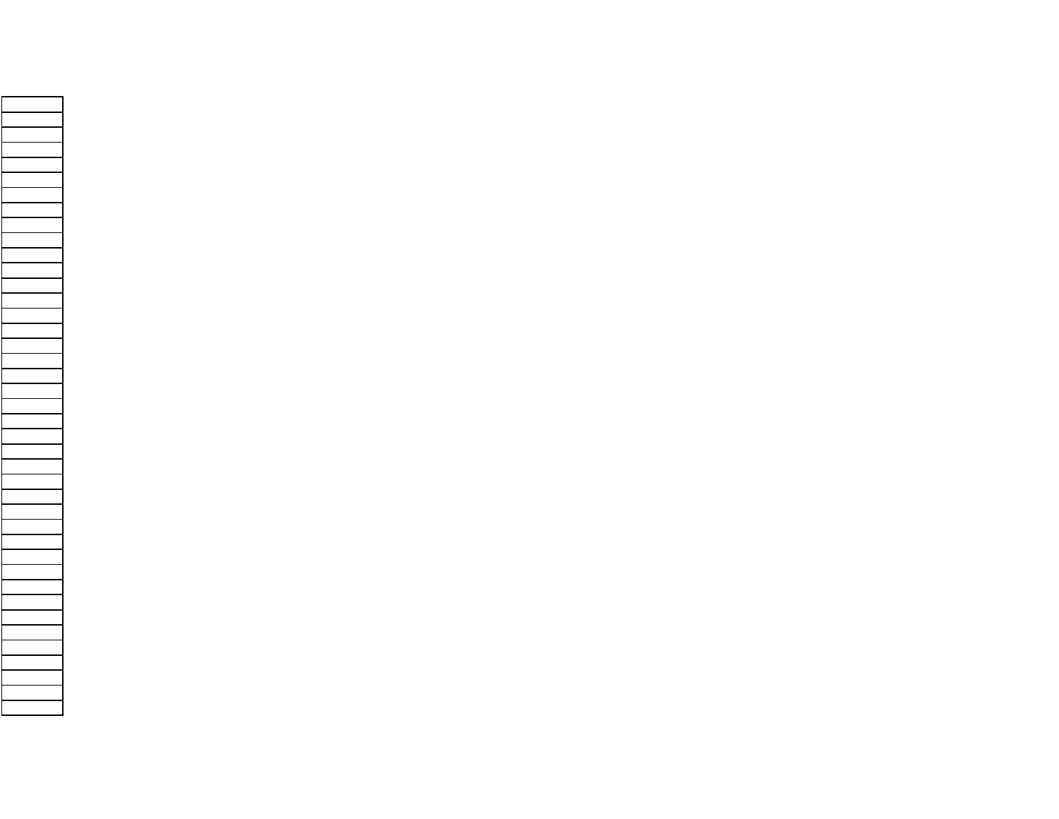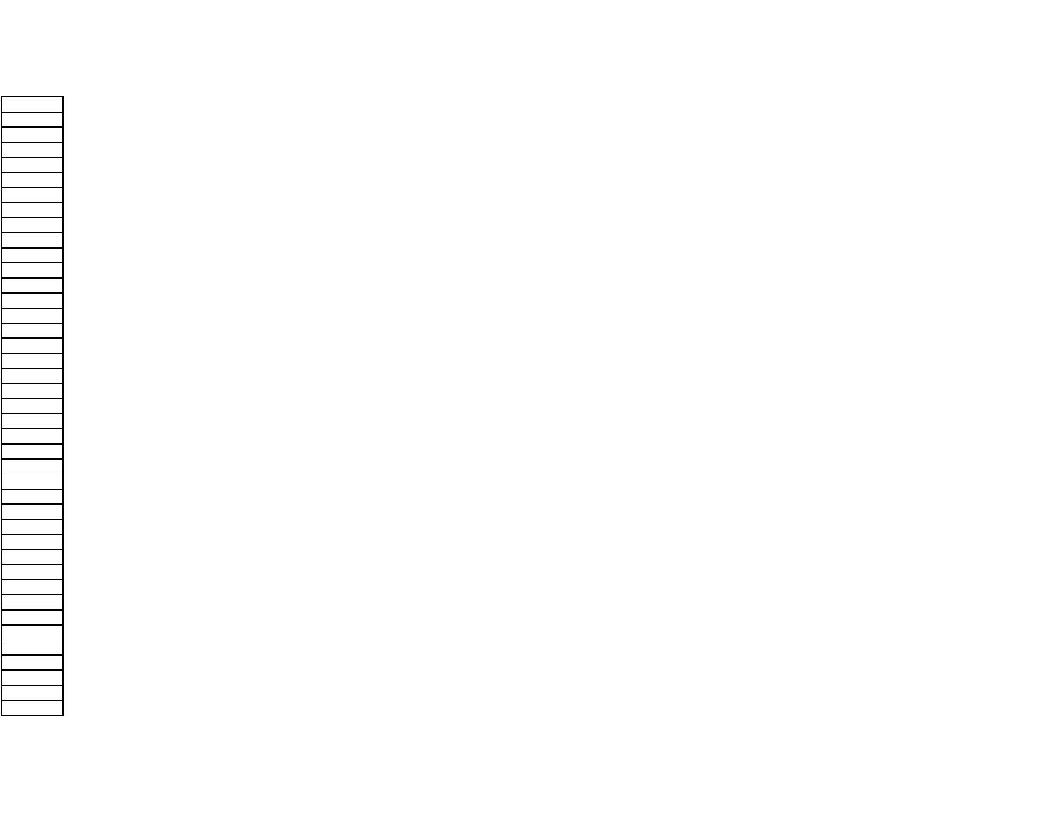